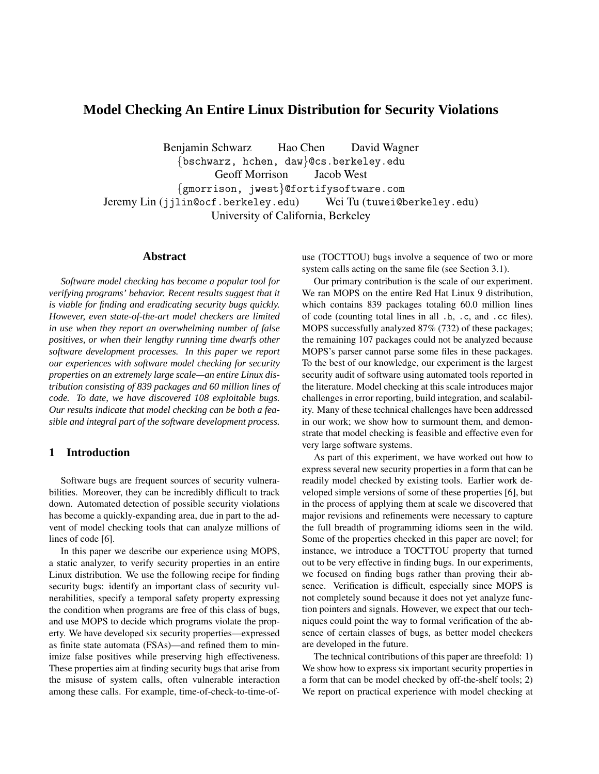# **Model Checking An Entire Linux Distribution for Security Violations**

Benjamin Schwarz Hao Chen David Wagner

{bschwarz, hchen, daw}@cs.berkeley.edu Geoff Morrison Jacob West {gmorrison, jwest}@fortifysoftware.com Jeremy Lin (jjlin@ocf.berkeley.edu) Wei Tu (tuwei@berkeley.edu) University of California, Berkeley

#### **Abstract**

*Software model checking has become a popular tool for verifying programs' behavior. Recent results suggest that it is viable for finding and eradicating security bugs quickly. However, even state-of-the-art model checkers are limited in use when they report an overwhelming number of false positives, or when their lengthy running time dwarfs other software development processes. In this paper we report our experiences with software model checking for security properties on an extremely large scale—an entire Linux distribution consisting of 839 packages and 60 million lines of code. To date, we have discovered 108 exploitable bugs. Our results indicate that model checking can be both a feasible and integral part of the software development process.*

## **1 Introduction**

Software bugs are frequent sources of security vulnerabilities. Moreover, they can be incredibly difficult to track down. Automated detection of possible security violations has become a quickly-expanding area, due in part to the advent of model checking tools that can analyze millions of lines of code [6].

In this paper we describe our experience using MOPS, a static analyzer, to verify security properties in an entire Linux distribution. We use the following recipe for finding security bugs: identify an important class of security vulnerabilities, specify a temporal safety property expressing the condition when programs are free of this class of bugs, and use MOPS to decide which programs violate the property. We have developed six security properties—expressed as finite state automata (FSAs)—and refined them to minimize false positives while preserving high effectiveness. These properties aim at finding security bugs that arise from the misuse of system calls, often vulnerable interaction among these calls. For example, time-of-check-to-time-ofuse (TOCTTOU) bugs involve a sequence of two or more system calls acting on the same file (see Section 3.1).

Our primary contribution is the scale of our experiment. We ran MOPS on the entire Red Hat Linux 9 distribution, which contains 839 packages totaling 60.0 million lines of code (counting total lines in all .h, .c, and .cc files). MOPS successfully analyzed 87% (732) of these packages; the remaining 107 packages could not be analyzed because MOPS's parser cannot parse some files in these packages. To the best of our knowledge, our experiment is the largest security audit of software using automated tools reported in the literature. Model checking at this scale introduces major challenges in error reporting, build integration, and scalability. Many of these technical challenges have been addressed in our work; we show how to surmount them, and demonstrate that model checking is feasible and effective even for very large software systems.

As part of this experiment, we have worked out how to express several new security properties in a form that can be readily model checked by existing tools. Earlier work developed simple versions of some of these properties [6], but in the process of applying them at scale we discovered that major revisions and refinements were necessary to capture the full breadth of programming idioms seen in the wild. Some of the properties checked in this paper are novel; for instance, we introduce a TOCTTOU property that turned out to be very effective in finding bugs. In our experiments, we focused on finding bugs rather than proving their absence. Verification is difficult, especially since MOPS is not completely sound because it does not yet analyze function pointers and signals. However, we expect that our techniques could point the way to formal verification of the absence of certain classes of bugs, as better model checkers are developed in the future.

The technical contributions of this paper are threefold: 1) We show how to express six important security properties in a form that can be model checked by off-the-shelf tools; 2) We report on practical experience with model checking at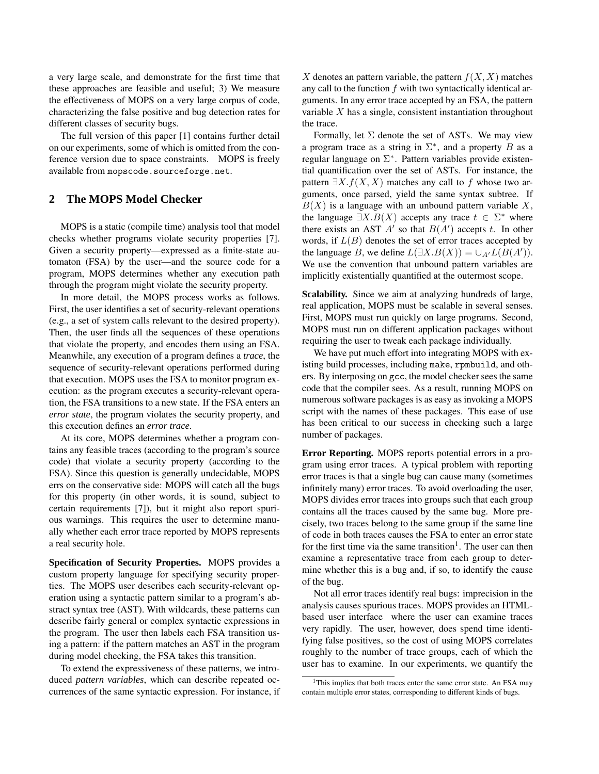a very large scale, and demonstrate for the first time that these approaches are feasible and useful; 3) We measure the effectiveness of MOPS on a very large corpus of code, characterizing the false positive and bug detection rates for different classes of security bugs.

The full version of this paper [1] contains further detail on our experiments, some of which is omitted from the conference version due to space constraints. MOPS is freely available from mopscode.sourceforge.net.

# **2 The MOPS Model Checker**

MOPS is a static (compile time) analysis tool that model checks whether programs violate security properties [7]. Given a security property—expressed as a finite-state automaton (FSA) by the user—and the source code for a program, MOPS determines whether any execution path through the program might violate the security property.

In more detail, the MOPS process works as follows. First, the user identifies a set of security-relevant operations (e.g., a set of system calls relevant to the desired property). Then, the user finds all the sequences of these operations that violate the property, and encodes them using an FSA. Meanwhile, any execution of a program defines a *trace*, the sequence of security-relevant operations performed during that execution. MOPS uses the FSA to monitor program execution: as the program executes a security-relevant operation, the FSA transitions to a new state. If the FSA enters an *error state*, the program violates the security property, and this execution defines an *error trace*.

At its core, MOPS determines whether a program contains any feasible traces (according to the program's source code) that violate a security property (according to the FSA). Since this question is generally undecidable, MOPS errs on the conservative side: MOPS will catch all the bugs for this property (in other words, it is sound, subject to certain requirements [7]), but it might also report spurious warnings. This requires the user to determine manually whether each error trace reported by MOPS represents a real security hole.

**Specification of Security Properties.** MOPS provides a custom property language for specifying security properties. The MOPS user describes each security-relevant operation using a syntactic pattern similar to a program's abstract syntax tree (AST). With wildcards, these patterns can describe fairly general or complex syntactic expressions in the program. The user then labels each FSA transition using a pattern: if the pattern matches an AST in the program during model checking, the FSA takes this transition.

To extend the expressiveness of these patterns, we introduced *pattern variables*, which can describe repeated occurrences of the same syntactic expression. For instance, if X denotes an pattern variable, the pattern  $f(X, X)$  matches any call to the function  $f$  with two syntactically identical arguments. In any error trace accepted by an FSA, the pattern variable  $X$  has a single, consistent instantiation throughout the trace.

Formally, let  $\Sigma$  denote the set of ASTs. We may view a program trace as a string in  $\Sigma^*$ , and a property  $\overline{B}$  as a regular language on  $\Sigma^*$ . Pattern variables provide existential quantification over the set of ASTs. For instance, the pattern  $\exists X.f(X, X)$  matches any call to f whose two arguments, once parsed, yield the same syntax subtree. If  $B(X)$  is a language with an unbound pattern variable X, the language  $\exists X . B(X)$  accepts any trace  $t \in \Sigma^*$  where there exists an AST  $A'$  so that  $B(A')$  accepts t. In other words, if  $L(B)$  denotes the set of error traces accepted by the language B, we define  $L(\exists X.B(X)) = \cup_{A'} L(B(A')).$ We use the convention that unbound pattern variables are implicitly existentially quantified at the outermost scope.

**Scalability.** Since we aim at analyzing hundreds of large, real application, MOPS must be scalable in several senses. First, MOPS must run quickly on large programs. Second, MOPS must run on different application packages without requiring the user to tweak each package individually.

We have put much effort into integrating MOPS with existing build processes, including make, rpmbuild, and others. By interposing on gcc, the model checker seesthe same code that the compiler sees. As a result, running MOPS on numerous software packages is as easy as invoking a MOPS script with the names of these packages. This ease of use has been critical to our success in checking such a large number of packages.

**Error Reporting.** MOPS reports potential errors in a program using error traces. A typical problem with reporting error traces is that a single bug can cause many (sometimes infinitely many) error traces. To avoid overloading the user, MOPS divides error traces into groups such that each group contains all the traces caused by the same bug. More precisely, two traces belong to the same group if the same line of code in both traces causes the FSA to enter an error state for the first time via the same transition<sup>1</sup>. The user can then examine a representative trace from each group to determine whether this is a bug and, if so, to identify the cause of the bug.

Not all error traces identify real bugs: imprecision in the analysis causes spurious traces. MOPS provides an HTMLbased user interface where the user can examine traces very rapidly. The user, however, does spend time identifying false positives, so the cost of using MOPS correlates roughly to the number of trace groups, each of which the user has to examine. In our experiments, we quantify the

<sup>&</sup>lt;sup>1</sup>This implies that both traces enter the same error state. An FSA may contain multiple error states, corresponding to different kinds of bugs.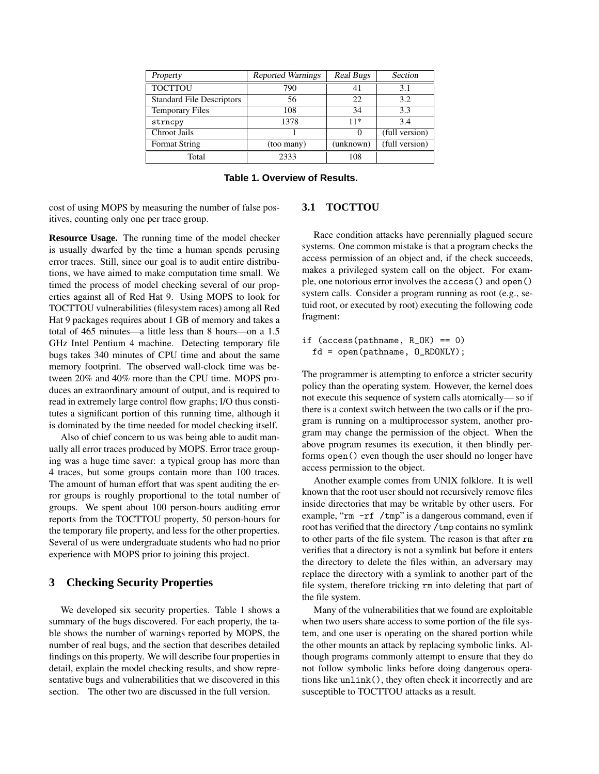| Property                         | <b>Reported Warnings</b> | <b>Real Bugs</b> | Section        |
|----------------------------------|--------------------------|------------------|----------------|
| <b>TOCTTOU</b>                   | 790                      | 4 <sub>1</sub>   | 3.1            |
| <b>Standard File Descriptors</b> | 56                       | 22               | 3.2            |
| <b>Temporary Files</b>           | 108                      | 34               | 3.3            |
| strncpy                          | 1378                     | $11*$            | 3.4            |
| Chroot Jails                     |                          |                  | (full version) |
| Format String                    | (too many)               | (unknown)        | (full version) |
| Total                            | 2333                     | 108              |                |

**Table 1. Overview of Results.**

cost of using MOPS by measuring the number of false positives, counting only one per trace group.

**Resource Usage.** The running time of the model checker is usually dwarfed by the time a human spends perusing error traces. Still, since our goal is to audit entire distributions, we have aimed to make computation time small. We timed the process of model checking several of our properties against all of Red Hat 9. Using MOPS to look for TOCTTOU vulnerabilities (filesystem races) among all Red Hat 9 packages requires about 1 GB of memory and takes a total of 465 minutes—a little less than 8 hours—on a 1.5 GHz Intel Pentium 4 machine. Detecting temporary file bugs takes 340 minutes of CPU time and about the same memory footprint. The observed wall-clock time was between 20% and 40% more than the CPU time. MOPS produces an extraordinary amount of output, and is required to read in extremely large control flow graphs; I/O thus constitutes a significant portion of this running time, although it is dominated by the time needed for model checking itself.

Also of chief concern to us was being able to audit manually all error traces produced by MOPS. Error trace grouping was a huge time saver: a typical group has more than 4 traces, but some groups contain more than 100 traces. The amount of human effort that was spent auditing the error groups is roughly proportional to the total number of groups. We spent about 100 person-hours auditing error reports from the TOCTTOU property, 50 person-hours for the temporary file property, and less for the other properties. Several of us were undergraduate students who had no prior experience with MOPS prior to joining this project.

## **3 Checking Security Properties**

We developed six security properties. Table 1 shows a summary of the bugs discovered. For each property, the table shows the number of warnings reported by MOPS, the number of real bugs, and the section that describes detailed findings on this property. We will describe four properties in detail, explain the model checking results, and show representative bugs and vulnerabilities that we discovered in this section. The other two are discussed in the full version.

## **3.1 TOCTTOU**

Race condition attacks have perennially plagued secure systems. One common mistake is that a program checks the access permission of an object and, if the check succeeds, makes a privileged system call on the object. For example, one notorious error involves the access() and open() system calls. Consider a program running as root (e.g., setuid root, or executed by root) executing the following code fragment:

if  $(\arccos(\text{pathname}, R_QK)) == 0)$ fd = open(pathname, O\_RDONLY);

The programmer is attempting to enforce a stricter security policy than the operating system. However, the kernel does not execute this sequence of system calls atomically— so if there is a context switch between the two calls or if the program is running on a multiprocessor system, another program may change the permission of the object. When the above program resumes its execution, it then blindly performs open() even though the user should no longer have access permission to the object.

Another example comes from UNIX folklore. It is well known that the root user should not recursively remove files inside directories that may be writable by other users. For example, "rm -rf /tmp" is a dangerous command, even if root has verified that the directory /tmp contains no symlink to other parts of the file system. The reason is that after rm verifies that a directory is not a symlink but before it enters the directory to delete the files within, an adversary may replace the directory with a symlink to another part of the file system, therefore tricking rm into deleting that part of the file system.

Many of the vulnerabilities that we found are exploitable when two users share access to some portion of the file system, and one user is operating on the shared portion while the other mounts an attack by replacing symbolic links. Although programs commonly attempt to ensure that they do not follow symbolic links before doing dangerous operations like unlink(), they often check it incorrectly and are susceptible to TOCTTOU attacks as a result.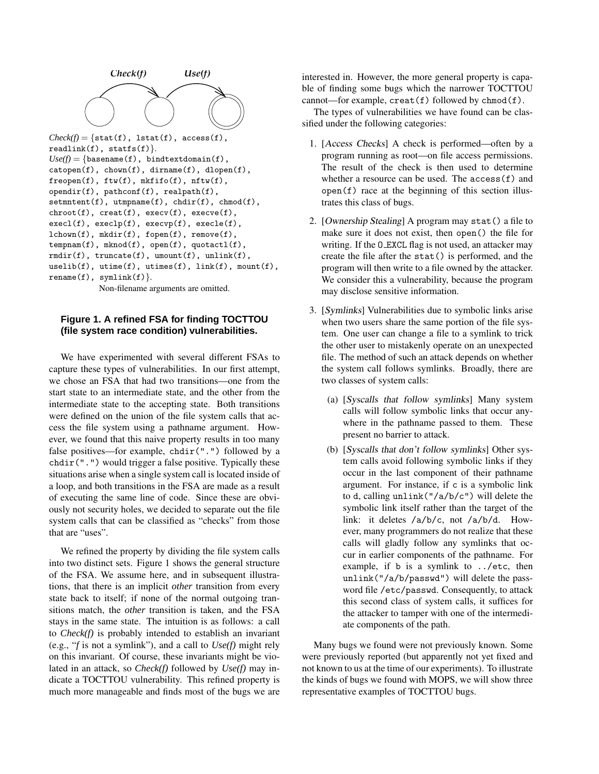

```
readlink(f), statfs(f).Use(f) = \{basename(f), bindtextdomain(f),catopen(f), chown(f), dirname(f), dlopen(f),
freopen(f), ftw(f), mkfifo(f), nftw(f),
opendir(f), pathconf(f), realpath(f),
setmntent(f), utmpname(f), chdir(f), chmod(f),
\text{chroot}(f), \text{creat}(f), \text{execv}(f), \text{execv}(f),
execl(f), execlp(f), execvp(f), execle(f),
lchown(f), mkdir(f), fopen(f), remove(f),
tennan(f), mknod(f), open(f), quotactl(f),
rmdir(f), truncate(f), umount(f), unlink(f),
uselib(f), utime(f), utimes(f), link(f), mount(f),
\texttt{name}(f), \texttt{symlink}(f).
```
Non-filename arguments are omitted.

## **Figure 1. A refined FSA for finding TOCTTOU (file system race condition) vulnerabilities.**

We have experimented with several different FSAs to capture these types of vulnerabilities. In our first attempt, we chose an FSA that had two transitions—one from the start state to an intermediate state, and the other from the intermediate state to the accepting state. Both transitions were defined on the union of the file system calls that access the file system using a pathname argument. However, we found that this naive property results in too many false positives—for example, chdir(".") followed by a chdir(".") would trigger a false positive. Typically these situations arise when a single system call is located inside of a loop, and both transitions in the FSA are made as a result of executing the same line of code. Since these are obviously not security holes, we decided to separate out the file system calls that can be classified as "checks" from those that are "uses".

We refined the property by dividing the file system calls into two distinct sets. Figure 1 shows the general structure of the FSA. We assume here, and in subsequent illustrations, that there is an implicit *other* transition from every state back to itself; if none of the normal outgoing transitions match, the *other* transition is taken, and the FSA stays in the same state. The intuition is as follows: a call to *Check(f)* is probably intended to establish an invariant (e.g., "*f* is not a symlink"), and a call to *Use(f)* might rely on this invariant. Of course, these invariants might be violated in an attack, so *Check(f)* followed by *Use(f)* may indicate a TOCTTOU vulnerability. This refined property is much more manageable and finds most of the bugs we are interested in. However, the more general property is capable of finding some bugs which the narrower TOCTTOU cannot—for example,  $\text{create}(f)$  followed by  $\text{chmod}(f)$ .

The types of vulnerabilities we have found can be classified under the following categories:

- 1. [Access Checks] A check is performed—often by a program running as root—on file access permissions. The result of the check is then used to determine whether a resource can be used. The  $access(f)$  and open(f) race at the beginning of this section illustrates this class of bugs.
- 2. [Ownership Stealing] A program may stat() a file to make sure it does not exist, then open() the file for writing. If the  $0$  EXCL flag is not used, an attacker may create the file after the stat() is performed, and the program will then write to a file owned by the attacker. We consider this a vulnerability, because the program may disclose sensitive information.
- 3. [Symlinks] Vulnerabilities due to symbolic links arise when two users share the same portion of the file system. One user can change a file to a symlink to trick the other user to mistakenly operate on an unexpected file. The method of such an attack depends on whether the system call follows symlinks. Broadly, there are two classes of system calls:
	- (a) [Syscalls that follow symlinks] Many system calls will follow symbolic links that occur anywhere in the pathname passed to them. These present no barrier to attack.
	- (b) [Syscalls that don't follow symlinks] Other system calls avoid following symbolic links if they occur in the last component of their pathname argument. For instance, if c is a symbolic link to d, calling unlink("/a/b/c") will delete the symbolic link itself rather than the target of the link: it deletes /a/b/c, not /a/b/d. However, many programmers do not realize that these calls will gladly follow any symlinks that occur in earlier components of the pathname. For example, if b is a symlink to ../etc, then unlink("/a/b/passwd") will delete the password file /etc/passwd. Consequently, to attack this second class of system calls, it suffices for the attacker to tamper with one of the intermediate components of the path.

Many bugs we found were not previously known. Some were previously reported (but apparently not yet fixed and not known to us at the time of our experiments). To illustrate the kinds of bugs we found with MOPS, we will show three representative examples of TOCTTOU bugs.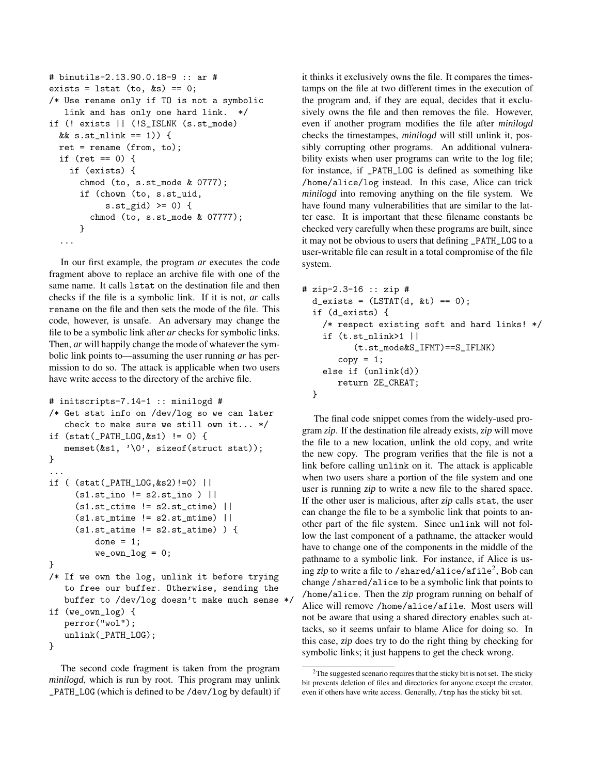```
# binutils-2.13.90.0.18-9 :: ar #
exists = lstat (to, ks) == 0;
/* Use rename only if TO is not a symbolic
   link and has only one hard link. */
if (! exists || (!S_ISLNK (s.st_mode)
 &  s.st_nlink == 1)) {
 ret = rename (from, to);if (ret == 0) {
    if (exists) {
      chmod (to, s.st_mode & 0777);
      if (chown (to, s.st_uid,
           s.st_gid >= 0) {
        chmod (to, s.st_mode & 07777);
      }
  ...
```
In our first example, the program *ar* executes the code fragment above to replace an archive file with one of the same name. It calls lstat on the destination file and then checks if the file is a symbolic link. If it is not, *ar* calls rename on the file and then sets the mode of the file. This code, however, is unsafe. An adversary may change the file to be a symbolic link after *ar* checks for symbolic links. Then, *ar* will happily change the mode of whatever the symbolic link points to—assuming the user running *ar* has permission to do so. The attack is applicable when two users have write access to the directory of the archive file.

```
# initscripts-7.14-1 :: minilogd #
/* Get stat info on /dev/log so we can later
   check to make sure we still own it... */
if (stat(_PATH_LOG,&s1) != 0) {
   memset(&s1, '\0', sizeof(struct stat));
}
...
if ( (stat(_PATH_LOG,&s2)!=0) ||
     (s1.st_ino != s2.st_ino ) ||
     (s1.st_ctime != s2.st_ctime)|
     (s1.st_matrix == s2.st_matrix)|
     (s1.st_attribute != s2.st_attribute) ) {
         done = 1;
         we\_own\_log = 0;}
/* If we own the log, unlink it before trying
   to free our buffer. Otherwise, sending the
   buffer to /dev/log doesn't make much sense */
if (we_own_log) {
   perror("wol");
   unlink(_PATH_LOG);
}
```
The second code fragment is taken from the program *minilogd*, which is run by root. This program may unlink \_PATH\_LOG (which is defined to be /dev/log by default) if it thinks it exclusively owns the file. It compares the timestamps on the file at two different times in the execution of the program and, if they are equal, decides that it exclusively owns the file and then removes the file. However, even if another program modifies the file after *minilogd* checks the timestampes, *minilogd* will still unlink it, possibly corrupting other programs. An additional vulnerability exists when user programs can write to the log file; for instance, if \_PATH\_LOG is defined as something like /home/alice/log instead. In this case, Alice can trick *minilogd* into removing anything on the file system. We have found many vulnerabilities that are similar to the latter case. It is important that these filename constants be checked very carefully when these programs are built, since it may not be obvious to users that defining \_PATH\_LOG to a user-writable file can result in a total compromise of the file system.

```
# zip-2.3-16 :: zip #
  d_{exists} = (LSTAT(d, &t) == 0);if (d_exists) {
    /* respect existing soft and hard links! */
    if (t.st_nlink>1 ||
          (t.st_mode&S_IFMT)==S_IFLNK)
       copy = 1;else if (unlink(d))
       return ZE_CREAT;
 }
```
The final code snippet comes from the widely-used program *zip*. If the destination file already exists, *zip* will move the file to a new location, unlink the old copy, and write the new copy. The program verifies that the file is not a link before calling unlink on it. The attack is applicable when two users share a portion of the file system and one user is running *zip* to write a new file to the shared space. If the other user is malicious, after *zip* calls stat, the user can change the file to be a symbolic link that points to another part of the file system. Since unlink will not follow the last component of a pathname, the attacker would have to change one of the components in the middle of the pathname to a symbolic link. For instance, if Alice is using  $zip$  to write a file to /shared/alice/afile<sup>2</sup>, Bob can change /shared/alice to be a symbolic link that points to /home/alice. Then the *zip* program running on behalf of Alice will remove /home/alice/afile. Most users will not be aware that using a shared directory enables such attacks, so it seems unfair to blame Alice for doing so. In this case, *zip* does try to do the right thing by checking for symbolic links; it just happens to get the check wrong.

 $2$ The suggested scenario requires that the sticky bit is not set. The sticky bit prevents deletion of files and directories for anyone except the creator, even if others have write access. Generally, /tmp has the sticky bit set.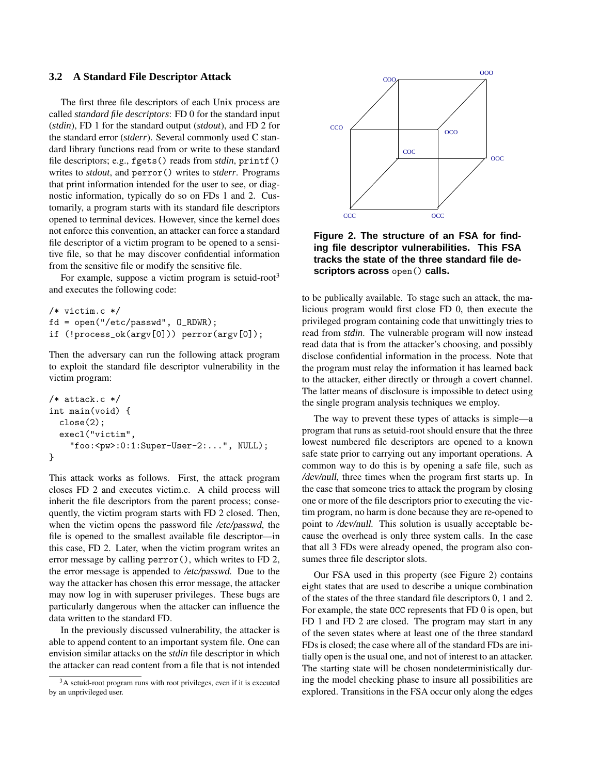#### **3.2 A Standard File Descriptor Attack**

The first three file descriptors of each Unix process are called *standard file descriptors*: FD 0 for the standard input (*stdin*), FD 1 for the standard output (*stdout*), and FD 2 for the standard error (*stderr*). Several commonly used C standard library functions read from or write to these standard file descriptors; e.g., fgets() reads from *stdin*, printf() writes to *stdout*, and perror() writes to *stderr*. Programs that print information intended for the user to see, or diagnostic information, typically do so on FDs 1 and 2. Customarily, a program starts with its standard file descriptors opened to terminal devices. However, since the kernel does not enforce this convention, an attacker can force a standard file descriptor of a victim program to be opened to a sensitive file, so that he may discover confidential information from the sensitive file or modify the sensitive file.

For example, suppose a victim program is setuid-root<sup>3</sup> and executes the following code:

```
/* victim.c */
fd = open("/etc/passwd", O_RDWR);
if (!process_ok(argv[0])) perror(argv[0]);
```
Then the adversary can run the following attack program to exploit the standard file descriptor vulnerability in the victim program:

```
/* attack.c */
int main(void) {
  close(2);
  execl("victim",
    "foo:<pw>:0:1:Super-User-2:...", NULL);
}
```
This attack works as follows. First, the attack program closes FD 2 and executes victim.c. A child process will inherit the file descriptors from the parent process; consequently, the victim program starts with FD 2 closed. Then, when the victim opens the password file /etc/passwd, the file is opened to the smallest available file descriptor—in this case, FD 2. Later, when the victim program writes an error message by calling perror(), which writes to FD 2, the error message is appended to /etc/passwd. Due to the way the attacker has chosen this error message, the attacker may now log in with superuser privileges. These bugs are particularly dangerous when the attacker can influence the data written to the standard FD.

In the previously discussed vulnerability, the attacker is able to append content to an important system file. One can envision similar attacks on the *stdin* file descriptor in which the attacker can read content from a file that is not intended



**Figure 2. The structure of an FSA for finding file descriptor vulnerabilities. This FSA tracks the state of the three standard file descriptors across** open() **calls.**

to be publically available. To stage such an attack, the malicious program would first close FD 0, then execute the privileged program containing code that unwittingly tries to read from *stdin*. The vulnerable program will now instead read data that is from the attacker's choosing, and possibly disclose confidential information in the process. Note that the program must relay the information it has learned back to the attacker, either directly or through a covert channel. The latter means of disclosure is impossible to detect using the single program analysis techniques we employ.

The way to prevent these types of attacks is simple—a program that runs as setuid-root should ensure that the three lowest numbered file descriptors are opened to a known safe state prior to carrying out any important operations. A common way to do this is by opening a safe file, such as /dev/null, three times when the program first starts up. In the case that someone tries to attack the program by closing one or more of the file descriptors prior to executing the victim program, no harm is done because they are re-opened to point to /dev/null. This solution is usually acceptable because the overhead is only three system calls. In the case that all 3 FDs were already opened, the program also consumes three file descriptor slots.

Our FSA used in this property (see Figure 2) contains eight states that are used to describe a unique combination of the states of the three standard file descriptors 0, 1 and 2. For example, the state OCC represents that FD 0 is open, but FD 1 and FD 2 are closed. The program may start in any of the seven states where at least one of the three standard FDs is closed; the case where all of the standard FDs are initially open is the usual one, and not of interest to an attacker. The starting state will be chosen nondeterministically during the model checking phase to insure all possibilities are explored. Transitions in the FSA occur only along the edges

<sup>&</sup>lt;sup>3</sup>A setuid-root program runs with root privileges, even if it is executed by an unprivileged user.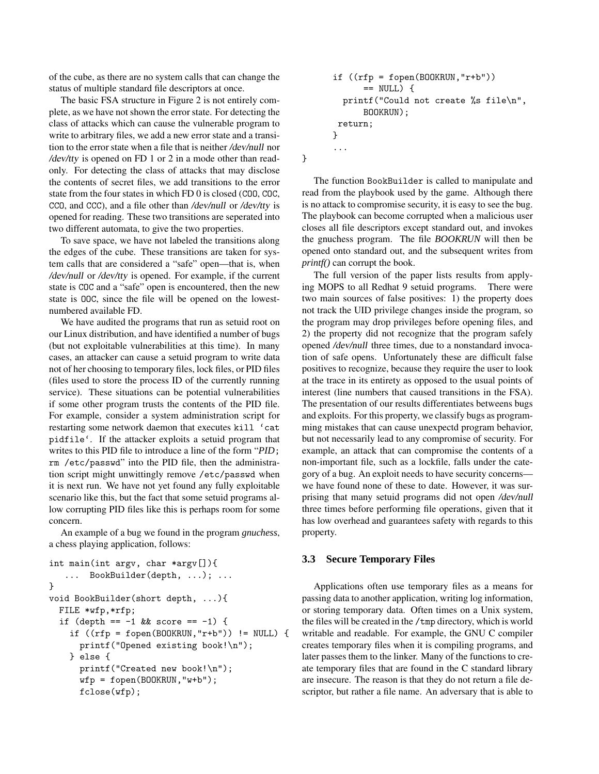of the cube, as there are no system calls that can change the status of multiple standard file descriptors at once.

The basic FSA structure in Figure 2 is not entirely complete, as we have not shown the error state. For detecting the class of attacks which can cause the vulnerable program to write to arbitrary files, we add a new error state and a transition to the error state when a file that is neither /dev/null nor /dev/tty is opened on FD 1 or 2 in a mode other than readonly. For detecting the class of attacks that may disclose the contents of secret files, we add transitions to the error state from the four states in which FD 0 is closed (COO, COC, CCO, and CCC), and a file other than /dev/null or /dev/tty is opened for reading. These two transitions are seperated into two different automata, to give the two properties.

To save space, we have not labeled the transitions along the edges of the cube. These transitions are taken for system calls that are considered a "safe" open—that is, when /dev/null or /dev/tty is opened. For example, if the current state is COC and a "safe" open is encountered, then the new state is OOC, since the file will be opened on the lowestnumbered available FD.

We have audited the programs that run as setuid root on our Linux distribution, and have identified a number of bugs (but not exploitable vulnerabilities at this time). In many cases, an attacker can cause a setuid program to write data not of her choosing to temporary files, lock files, or PID files (files used to store the process ID of the currently running service). These situations can be potential vulnerabilities if some other program trusts the contents of the PID file. For example, consider a system administration script for restarting some network daemon that executes kill 'cat pidfile'. If the attacker exploits a setuid program that writes to this PID file to introduce a line of the form "*PID*; rm /etc/passwd" into the PID file, then the administration script might unwittingly remove /etc/passwd when it is next run. We have not yet found any fully exploitable scenario like this, but the fact that some setuid programs allow corrupting PID files like this is perhaps room for some concern.

An example of a bug we found in the program *gnuchess*, a chess playing application, follows:

```
int main(int argv, char *argv[]){
   ... BookBuilder(depth, ...); ...
}
void BookBuilder(short depth, ...){
  FILE *wfp,*rfp;
  if (depth == -1 && score == -1) {
    if ((rfp = fopen(BOOKRUN, "r+b")) := NULL) {
      printf("Opened existing book!\n");
    } else {
      printf("Created new book!\n");
      wfp = fopen(BOOKRUN, "w+b");
      fclose(wfp);
```

```
if ((rfp = fopen(BOOKRUN, "r+b")))== NULL) {
 printf("Could not create %s file\n",
      BOOKRUN);
return;
}
...
```
}

The function BookBuilder is called to manipulate and read from the playbook used by the game. Although there is no attack to compromise security, it is easy to see the bug. The playbook can become corrupted when a malicious user closes all file descriptors except standard out, and invokes the gnuchess program. The file *BOOKRUN* will then be opened onto standard out, and the subsequent writes from *printf()* can corrupt the book.

The full version of the paper lists results from applying MOPS to all Redhat 9 setuid programs. There were two main sources of false positives: 1) the property does not track the UID privilege changes inside the program, so the program may drop privileges before opening files, and 2) the property did not recognize that the program safely opened /dev/null three times, due to a nonstandard invocation of safe opens. Unfortunately these are difficult false positives to recognize, because they require the user to look at the trace in its entirety as opposed to the usual points of interest (line numbers that caused transitions in the FSA). The presentation of our results differentiates betweens bugs and exploits. For this property, we classify bugs as programming mistakes that can cause unexpectd program behavior, but not necessarily lead to any compromise of security. For example, an attack that can compromise the contents of a non-important file, such as a lockfile, falls under the category of a bug. An exploit needs to have security concerns we have found none of these to date. However, it was surprising that many setuid programs did not open /dev/null three times before performing file operations, given that it has low overhead and guarantees safety with regards to this property.

### **3.3 Secure Temporary Files**

Applications often use temporary files as a means for passing data to another application, writing log information, or storing temporary data. Often times on a Unix system, the files will be created in the /tmp directory, which is world writable and readable. For example, the GNU C compiler creates temporary files when it is compiling programs, and later passes them to the linker. Many of the functions to create temporary files that are found in the C standard library are insecure. The reason is that they do not return a file descriptor, but rather a file name. An adversary that is able to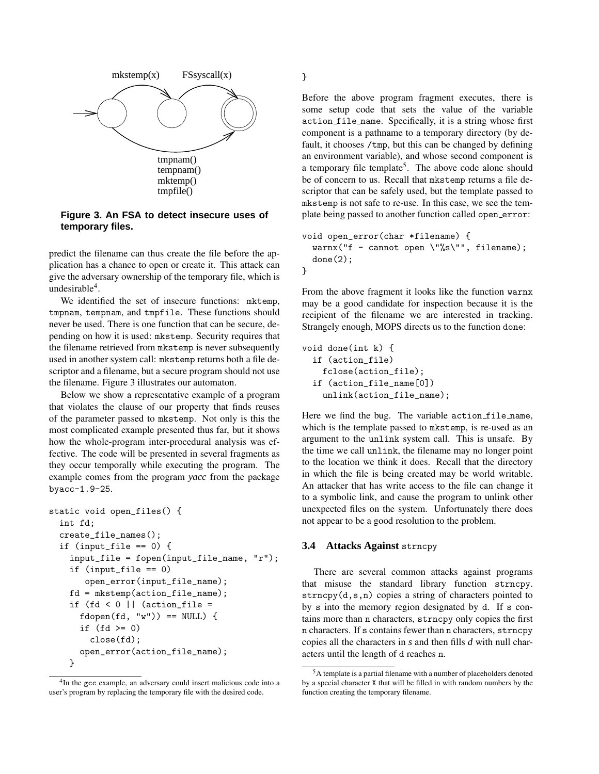

## **Figure 3. An FSA to detect insecure uses of temporary files.**

predict the filename can thus create the file before the application has a chance to open or create it. This attack can give the adversary ownership of the temporary file, which is undesirable<sup>4</sup>.

We identified the set of insecure functions: mktemp, tmpnam, tempnam, and tmpfile. These functions should never be used. There is one function that can be secure, depending on how it is used: mkstemp. Security requires that the filename retrieved from mkstemp is never subsequently used in another system call: mkstemp returns both a file descriptor and a filename, but a secure program should not use the filename. Figure 3 illustrates our automaton.

Below we show a representative example of a program that violates the clause of our property that finds reuses of the parameter passed to mkstemp. Not only is this the most complicated example presented thus far, but it shows how the whole-program inter-procedural analysis was effective. The code will be presented in several fragments as they occur temporally while executing the program. The example comes from the program *yacc* from the package byacc-1.9-25.

```
static void open_files() {
  int fd;
  create_file_names();
  if (input_file == 0) {
    input_file = fopen(input_file_name, "r");
    if (input_file == 0)
       open_error(input_file_name);
    fd = mkstemp(action_file_name);
    if (fd < 0 || (action_file =
      f\text{dopen}(fd, "w") == NULL) {
      if (fd \gt= 0)close(fd);
      open_error(action_file_name);
    }
```
}

Before the above program fragment executes, there is some setup code that sets the value of the variable action file name. Specifically, it is a string whose first component is a pathname to a temporary directory (by default, it chooses /tmp, but this can be changed by defining an environment variable), and whose second component is a temporary file template<sup>5</sup>. The above code alone should be of concern to us. Recall that mkstemp returns a file descriptor that can be safely used, but the template passed to mkstemp is not safe to re-use. In this case, we see the template being passed to another function called open error:

```
void open_error(char *filename) {
  warmx("f - cannot open \Psi's\n'", filename);
  done(2);
}
```
From the above fragment it looks like the function warnx may be a good candidate for inspection because it is the recipient of the filename we are interested in tracking. Strangely enough, MOPS directs us to the function done:

```
void done(int k) {
  if (action_file)
    fclose(action_file);
  if (action_file_name[0])
    unlink(action_file_name);
```
Here we find the bug. The variable action file name, which is the template passed to mkstemp, is re-used as an argument to the unlink system call. This is unsafe. By the time we call unlink, the filename may no longer point to the location we think it does. Recall that the directory in which the file is being created may be world writable. An attacker that has write access to the file can change it to a symbolic link, and cause the program to unlink other unexpected files on the system. Unfortunately there does not appear to be a good resolution to the problem.

### **3.4 Attacks Against** strncpy

There are several common attacks against programs that misuse the standard library function strncpy. strncpy(d,s,n) copies a string of characters pointed to by s into the memory region designated by d. If s contains more than n characters, strncpy only copies the first n characters. If s contains fewer than n characters, strncpy copies all the characters in *s* and then fills *d* with null characters until the length of d reaches n.

<sup>&</sup>lt;sup>4</sup>In the gcc example, an adversary could insert malicious code into a user's program by replacing the temporary file with the desired code.

<sup>5</sup>A template is a partial filename with a number of placeholders denoted by a special character X that will be filled in with random numbers by the function creating the temporary filename.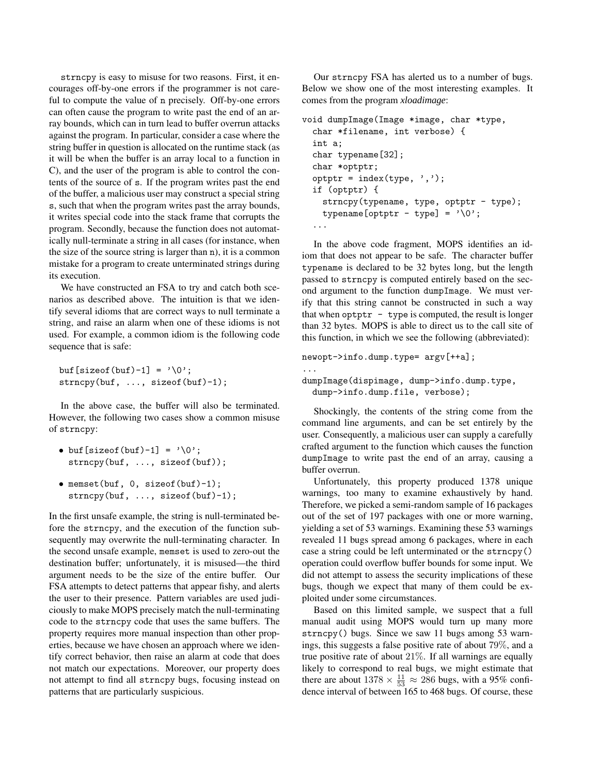strncpy is easy to misuse for two reasons. First, it encourages off-by-one errors if the programmer is not careful to compute the value of n precisely. Off-by-one errors can often cause the program to write past the end of an array bounds, which can in turn lead to buffer overrun attacks against the program. In particular, consider a case where the string buffer in question is allocated on the runtime stack (as it will be when the buffer is an array local to a function in C), and the user of the program is able to control the contents of the source of s. If the program writes past the end of the buffer, a malicious user may construct a special string s, such that when the program writes past the array bounds, it writes special code into the stack frame that corrupts the program. Secondly, because the function does not automatically null-terminate a string in all cases (for instance, when the size of the source string is larger than n), it is a common mistake for a program to create unterminated strings during its execution.

We have constructed an FSA to try and catch both scenarios as described above. The intuition is that we identify several idioms that are correct ways to null terminate a string, and raise an alarm when one of these idioms is not used. For example, a common idiom is the following code sequence that is safe:

```
buf [sizeof(buf)-1] = \sqrt{0};
strncpy(buf, ..., sizeof(buf)-1);
```
In the above case, the buffer will also be terminated. However, the following two cases show a common misuse of strncpy:

- buf  $[sizeof(buf)-1] = ' \0$ ; strncpy(buf, ..., sizeof(buf));
- memset(buf, 0, sizeof(buf)-1); strncpy(buf, ..., sizeof(buf)-1);

In the first unsafe example, the string is null-terminated before the strncpy, and the execution of the function subsequently may overwrite the null-terminating character. In the second unsafe example, memset is used to zero-out the destination buffer; unfortunately, it is misused—the third argument needs to be the size of the entire buffer. Our FSA attempts to detect patterns that appear fishy, and alerts the user to their presence. Pattern variables are used judiciously to make MOPS precisely match the null-terminating code to the strncpy code that uses the same buffers. The property requires more manual inspection than other properties, because we have chosen an approach where we identify correct behavior, then raise an alarm at code that does not match our expectations. Moreover, our property does not attempt to find all strncpy bugs, focusing instead on patterns that are particularly suspicious.

Our strncpy FSA has alerted us to a number of bugs. Below we show one of the most interesting examples. It comes from the program *xloadimage*:

```
void dumpImage(Image *image, char *type,
  char *filename, int verbose) {
  int a;
  char typename[32];
  char *optptr;
  optptr = index(type, ', ');
  if (optptr) {
    strncpy(typename, type, optptr - type);
    typename[optptr - type] = \sqrt{0'};
  ...
```
In the above code fragment, MOPS identifies an idiom that does not appear to be safe. The character buffer typename is declared to be 32 bytes long, but the length passed to strncpy is computed entirely based on the second argument to the function dumpImage. We must verify that this string cannot be constructed in such a way that when  $optpr - type$  is computed, the result is longer than 32 bytes. MOPS is able to direct us to the call site of this function, in which we see the following (abbreviated):

```
newopt->info.dump.type= argv[++a];
...
dumpImage(dispimage, dump->info.dump.type,
  dump->info.dump.file, verbose);
```
Shockingly, the contents of the string come from the command line arguments, and can be set entirely by the user. Consequently, a malicious user can supply a carefully crafted argument to the function which causes the function dumpImage to write past the end of an array, causing a buffer overrun.

Unfortunately, this property produced 1378 unique warnings, too many to examine exhaustively by hand. Therefore, we picked a semi-random sample of 16 packages out of the set of 197 packages with one or more warning, yielding a set of 53 warnings. Examining these 53 warnings revealed 11 bugs spread among 6 packages, where in each case a string could be left unterminated or the strncpy() operation could overflow buffer bounds for some input. We did not attempt to assess the security implications of these bugs, though we expect that many of them could be exploited under some circumstances.

Based on this limited sample, we suspect that a full manual audit using MOPS would turn up many more strncpy() bugs. Since we saw 11 bugs among 53 warnings, this suggests a false positive rate of about 79%, and a true positive rate of about 21%. If all warnings are equally likely to correspond to real bugs, we might estimate that there are about  $1378 \times \frac{11}{53} \approx 286$  bugs, with a 95% confidence interval of between 165 to 468 bugs. Of course, these